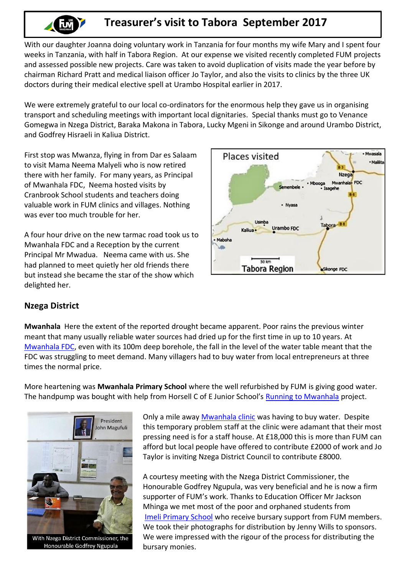

## **Treasurer's visit to Tabora September 2017**

With our daughter Joanna doing voluntary work in Tanzania for four months my wife Mary and I spent four weeks in Tanzania, with half in Tabora Region. At our expense we visited recently completed FUM projects and assessed possible new projects. Care was taken to avoid duplication of visits made the year before by chairman Richard Pratt and medical liaison officer Jo Taylor, and also the visits to clinics by the three UK doctors during their medical elective spell at Urambo Hospital earlier in 2017.

We were extremely grateful to our local co-ordinators for the enormous help they gave us in organising transport and scheduling meetings with important local dignitaries. Special thanks must go to Venance Gomegwa in Nzega District, Baraka Makona in Tabora, Lucky Mgeni in Sikonge and around Urambo District, and Godfrey Hisraeli in Kaliua District.

First stop was Mwanza, flying in from Dar es Salaam to visit Mama Neema Malyeli who is now retired there with her family. For many years, as Principal of Mwanhala FDC, Neema hosted visits by Cranbrook School students and teachers doing valuable work in FUM clinics and villages. Nothing was ever too much trouble for her.

A four hour drive on the new tarmac road took us to Mwanhala FDC and a Reception by the current Principal Mr Mwadua. Neema came with us. She had planned to meet quietly her old friends there but instead she became the star of the show which delighted her.



## **Nzega District**

**Mwanhala** Here the extent of the reported drought became apparent. Poor rains the previous winter meant that many usually reliable water sources had dried up for the first time in up to 10 years. At [Mwanhala FDC,](http://www.fum.org.uk/education/mwanhala-fdc) even with its 100m deep borehole, the fall in the level of the water table meant that the FDC was struggling to meet demand. Many villagers had to buy water from local entrepreneurs at three times the normal price.

More heartening was **Mwanhala Primary School** where the well refurbished by FUM is giving good water. The handpump was bought with help from Horsell C of E Junior School's [Running to Mwanhala](http://www.fum.org.uk/news-events/running-mwanhala) project.



With Nzega District Commissioner, the Honourable Godfrey Ngupula

Only a mile away [Mwanhala clinic](http://www.fum.org.uk/medical-aid/nzega-clinics/mwanhala-clinic-and-dispensary) was having to buy water. Despite this temporary problem staff at the clinic were adamant that their most pressing need is for a staff house. At £18,000 this is more than FUM can afford but local people have offered to contribute £2000 of work and Jo Taylor is inviting Nzega District Council to contribute £8000.

A courtesy meeting with the Nzega District Commissioner, the Honourable Godfrey Ngupula, was very beneficial and he is now a firm supporter of FUM's work. Thanks to Education Officer Mr Jackson Mhinga we met most of the poor and orphaned students from [Imeli Primary School](http://www.fum.org.uk/student-sponsorship) who receive bursary support from FUM members. We took their photographs for distribution by Jenny Wills to sponsors. We were impressed with the rigour of the process for distributing the bursary monies.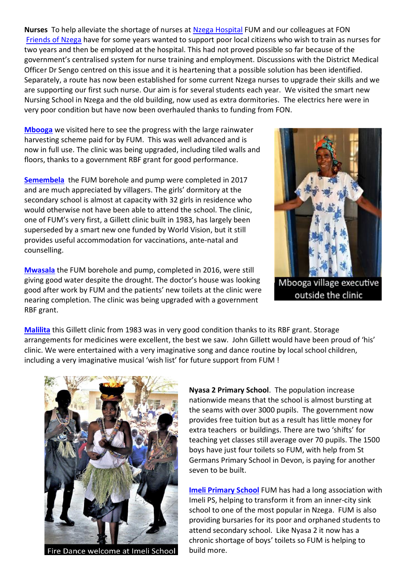**Nurses** To help alleviate the shortage of nurses at [Nzega Hospital](http://www.fum.org.uk/medical-aid/hospitals/nzega-hospital) FUM and our colleagues at FON [Friends of Nzega](http://opencharities.org/charities/289440) have for some years wanted to support poor local citizens who wish to train as nurses for two years and then be employed at the hospital. This had not proved possible so far because of the government's centralised system for nurse training and employment. Discussions with the District Medical Officer Dr Sengo centred on this issue and it is heartening that a possible solution has been identified. Separately, a route has now been established for some current Nzega nurses to upgrade their skills and we are supporting our first such nurse. Our aim is for several students each year. We visited the smart new Nursing School in Nzega and the old building, now used as extra dormitories. The electrics here were in very poor condition but have now been overhauled thanks to funding from FON.

**[Mbooga](http://www.fum.org.uk/medical-aid/nzega-clinics/mbooga-clinic)** we visited here to see the progress with the large rainwater harvesting scheme paid for by FUM. This was well advanced and is now in full use. The clinic was being upgraded, including tiled walls and floors, thanks to a government RBF grant for good performance.

**[Semembela](http://www.fum.org.uk/medical-aid/nzega-clinics/semembele-clinic)** the FUM borehole and pump were completed in 2017 and are much appreciated by villagers. The girls' dormitory at the secondary school is almost at capacity with 32 girls in residence who would otherwise not have been able to attend the school. The clinic, one of FUM's very first, a Gillett clinic built in 1983, has largely been superseded by a smart new one funded by World Vision, but it still provides useful accommodation for vaccinations, ante-natal and counselling.

**[Mwasala](http://www.fum.org.uk/medical-aid/nzega-clinics/mwasala-clinic)** the FUM borehole and pump, completed in 2016, were still giving good water despite the drought. The doctor's house was looking good after work by FUM and the patients' new toilets at the clinic were nearing completion. The clinic was being upgraded with a government



Mbooga village executive outside the clinic

**[Malilita](http://www.fum.org.uk/medical-aid/nzega-clinics/malilita-clinic)** this Gillett clinic from 1983 was in very good condition thanks to its RBF grant. Storage arrangements for medicines were excellent, the best we saw. John Gillett would have been proud of 'his' clinic. We were entertained with a very imaginative song and dance routine by local school children, including a very imaginative musical 'wish list' for future support from FUM !



RBF grant.

Fire Dance welcome at Imeli School

**Nyasa 2 Primary School**. The population increase nationwide means that the school is almost bursting at the seams with over 3000 pupils. The government now provides free tuition but as a result has little money for extra teachers or buildings. There are two 'shifts' for teaching yet classes still average over 70 pupils. The 1500 boys have just four toilets so FUM, with help from St Germans Primary School in Devon, is paying for another seven to be built.

**[Imeli Primary School](http://www.fum.org.uk/student-sponsorship)** FUM has had a long association with Imeli PS, helping to transform it from an inner-city sink school to one of the most popular in Nzega. FUM is also providing bursaries for its poor and orphaned students to attend secondary school. Like Nyasa 2 it now has a chronic shortage of boys' toilets so FUM is helping to build more.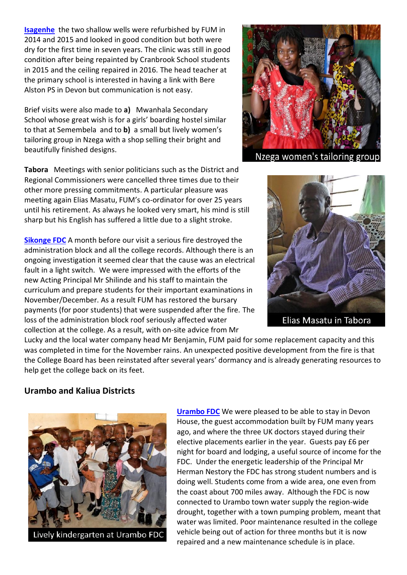**[Isagenhe](http://www.fum.org.uk/medical-aid/nzega-clinics/isegenhe-clinic)** the two shallow wells were refurbished by FUM in 2014 and 2015 and looked in good condition but both were dry for the first time in seven years. The clinic was still in good condition after being repainted by Cranbrook School students in 2015 and the ceiling repaired in 2016. The head teacher at the primary school is interested in having a link with Bere Alston PS in Devon but communication is not easy.

Brief visits were also made to **a)** Mwanhala Secondary School whose great wish is for a girls' boarding hostel similar to that at Semembela and to **b)** a small but lively women's tailoring group in Nzega with a shop selling their bright and beautifully finished designs.

**Tabora** Meetings with senior politicians such as the District and Regional Commissioners were cancelled three times due to their other more pressing commitments. A particular pleasure was meeting again Elias Masatu, FUM's co-ordinator for over 25 years until his retirement. As always he looked very smart, his mind is still sharp but his English has suffered a little due to a slight stroke.

**[Sikonge FDC](http://www.fum.org.uk/education/sikonge-fdc)** A month before our visit a serious fire destroyed the administration block and all the college records. Although there is an ongoing investigation it seemed clear that the cause was an electrical fault in a light switch. We were impressed with the efforts of the new Acting Principal Mr Shilinde and his staff to maintain the curriculum and prepare students for their important examinations in November/December. As a result FUM has restored the bursary payments (for poor students) that were suspended after the fire. The loss of the administration block roof seriously affected water collection at the college. As a result, with on-site advice from Mr



Nzega women's tailoring group



Lucky and the local water company head Mr Benjamin, FUM paid for some replacement capacity and this was completed in time for the November rains. An unexpected positive development from the fire is that the College Board has been reinstated after several years' dormancy and is already generating resources to help get the college back on its feet.

## **Urambo and Kaliua Districts**



**[Urambo FDC](http://www.fum.org.uk/education/urambo-fdc)** We were pleased to be able to stay in Devon House, the guest accommodation built by FUM many years ago, and where the three UK doctors stayed during their elective placements earlier in the year. Guests pay £6 per night for board and lodging, a useful source of income for the FDC. Under the energetic leadership of the Principal Mr Herman Nestory the FDC has strong student numbers and is doing well. Students come from a wide area, one even from the coast about 700 miles away. Although the FDC is now connected to Urambo town water supply the region-wide drought, together with a town pumping problem, meant that water was limited. Poor maintenance resulted in the college vehicle being out of action for three months but it is now repaired and a new maintenance schedule is in place.